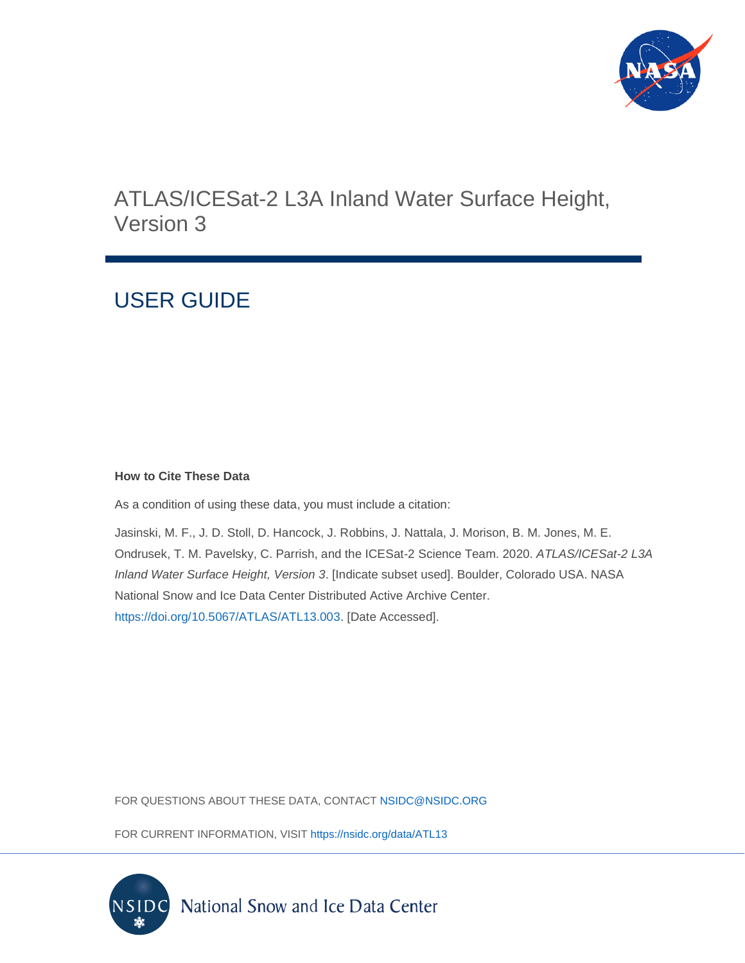

# ATLAS/ICESat-2 L3A Inland Water Surface Height, Version 3

# USER GUIDE

### **How to Cite These Data**

As a condition of using these data, you must include a citation:

Jasinski, M. F., J. D. Stoll, D. Hancock, J. Robbins, J. Nattala, J. Morison, B. M. Jones, M. E. Ondrusek, T. M. Pavelsky, C. Parrish, and the ICESat-2 Science Team. 2020. *ATLAS/ICESat-2 L3A Inland Water Surface Height, Version 3*. [Indicate subset used]. Boulder, Colorado USA. NASA National Snow and Ice Data Center Distributed Active Archive Center. [https://doi.org/10.5067/ATLAS/ATL13.003.](https://doi.org/10.5067/ATLAS/ATL13.003) [Date Accessed].

FOR QUESTIONS ABOUT THESE DATA, CONTACT [NSIDC@NSIDC.ORG](mailto:nsidc@nsidc.org)

FOR CURRENT INFORMATION, VISIT<https://nsidc.org/data/ATL13>

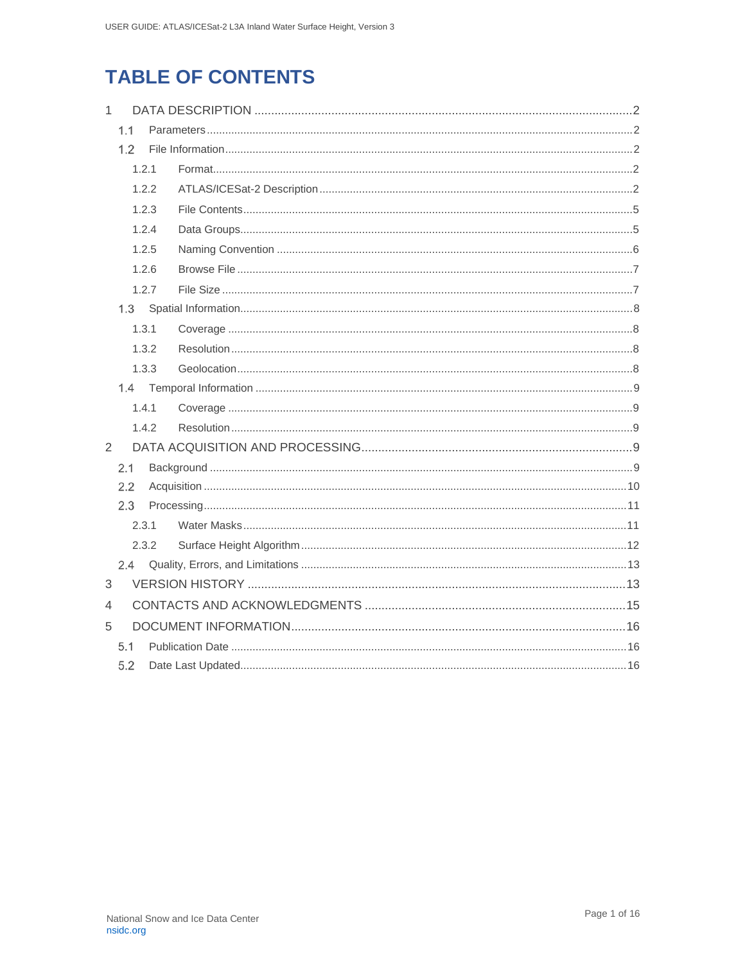# **TABLE OF CONTENTS**

| $\mathbf{1}$   |       |       |  |  |  |  |
|----------------|-------|-------|--|--|--|--|
|                | 1.1   |       |  |  |  |  |
|                | 1.2   |       |  |  |  |  |
|                |       | 1.2.1 |  |  |  |  |
|                |       | 1.2.2 |  |  |  |  |
|                |       | 1.2.3 |  |  |  |  |
|                |       | 1.2.4 |  |  |  |  |
|                |       | 1.2.5 |  |  |  |  |
|                |       | 1.2.6 |  |  |  |  |
|                |       | 1.2.7 |  |  |  |  |
|                |       |       |  |  |  |  |
|                |       | 1.3.1 |  |  |  |  |
|                |       | 1.3.2 |  |  |  |  |
|                |       | 1.3.3 |  |  |  |  |
|                |       |       |  |  |  |  |
|                |       | 1.4.1 |  |  |  |  |
|                | 1.4.2 |       |  |  |  |  |
| 2              |       |       |  |  |  |  |
|                | 2.1   |       |  |  |  |  |
|                | 2.2   |       |  |  |  |  |
|                | 2.3   |       |  |  |  |  |
|                |       | 2.3.1 |  |  |  |  |
|                |       | 2.3.2 |  |  |  |  |
|                | 2.4   |       |  |  |  |  |
| 3              |       |       |  |  |  |  |
| $\overline{4}$ |       |       |  |  |  |  |
| 5              |       |       |  |  |  |  |
|                | 5.1   |       |  |  |  |  |
| 5.2            |       |       |  |  |  |  |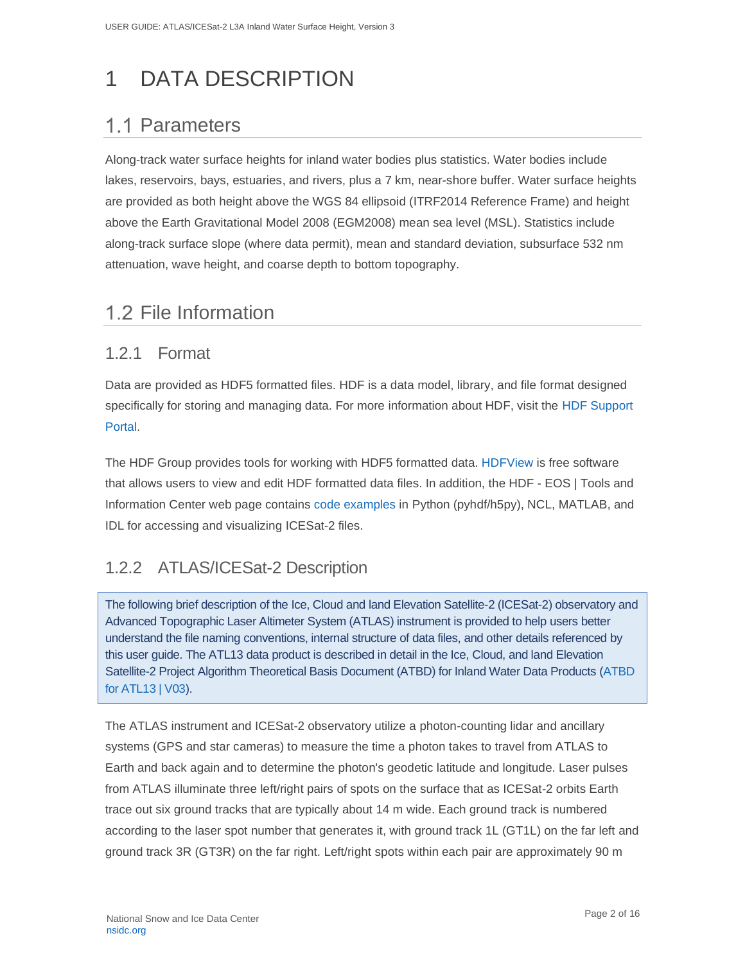# <span id="page-2-0"></span>1 DATA DESCRIPTION

# <span id="page-2-1"></span>1.1 Parameters

Along-track water surface heights for inland water bodies plus statistics. Water bodies include lakes, reservoirs, bays, estuaries, and rivers, plus a 7 km, near-shore buffer. Water surface heights are provided as both height above the WGS 84 ellipsoid (ITRF2014 Reference Frame) and height above the Earth Gravitational Model 2008 (EGM2008) mean sea level (MSL). Statistics include along-track surface slope (where data permit), mean and standard deviation, subsurface 532 nm attenuation, wave height, and coarse depth to bottom topography.

## <span id="page-2-2"></span>1.2 File Information

### <span id="page-2-3"></span>1.2.1 Format

Data are provided as HDF5 formatted files. HDF is a data model, library, and file format designed specifically for storing and managing data. For more information about HDF, visit the HDF [Support](https://portal.hdfgroup.org/display/support)  [Portal.](https://portal.hdfgroup.org/display/support)

The HDF Group provides tools for working with HDF5 formatted data. [HDFView](https://portal.hdfgroup.org/display/support/Download+HDFView) is free software that allows users to view and edit HDF formatted data files. In addition, the HDF - EOS | Tools and Information Center web page contains [code examples](https://hdfeos.org/zoo/index_openICESat2_Examples.php#ATL) in Python (pyhdf/h5py), NCL, MATLAB, and IDL for accessing and visualizing ICESat-2 files.

## <span id="page-2-4"></span>1.2.2 ATLAS/ICESat-2 Description

The following brief description of the Ice, Cloud and land Elevation Satellite-2 (ICESat-2) observatory and Advanced Topographic Laser Altimeter System (ATLAS) instrument is provided to help users better understand the file naming conventions, internal structure of data files, and other details referenced by this user guide. The ATL13 data product is described in detail in the Ice, Cloud, and land Elevation Satellite-2 Project Algorithm Theoretical Basis Document (ATBD) for Inland Water Data Products [\(ATBD](https://nsidc.org/sites/nsidc.org/files/technical-references/ICESat2_ATL13_ATBD_r003.pdf)  [for ATL13 | V03\)](https://nsidc.org/sites/nsidc.org/files/technical-references/ICESat2_ATL13_ATBD_r003.pdf).

The ATLAS instrument and ICESat-2 observatory utilize a photon-counting lidar and ancillary systems (GPS and star cameras) to measure the time a photon takes to travel from ATLAS to Earth and back again and to determine the photon's geodetic latitude and longitude. Laser pulses from ATLAS illuminate three left/right pairs of spots on the surface that as ICESat-2 orbits Earth trace out six ground tracks that are typically about 14 m wide. Each ground track is numbered according to the laser spot number that generates it, with ground track 1L (GT1L) on the far left and ground track 3R (GT3R) on the far right. Left/right spots within each pair are approximately 90 m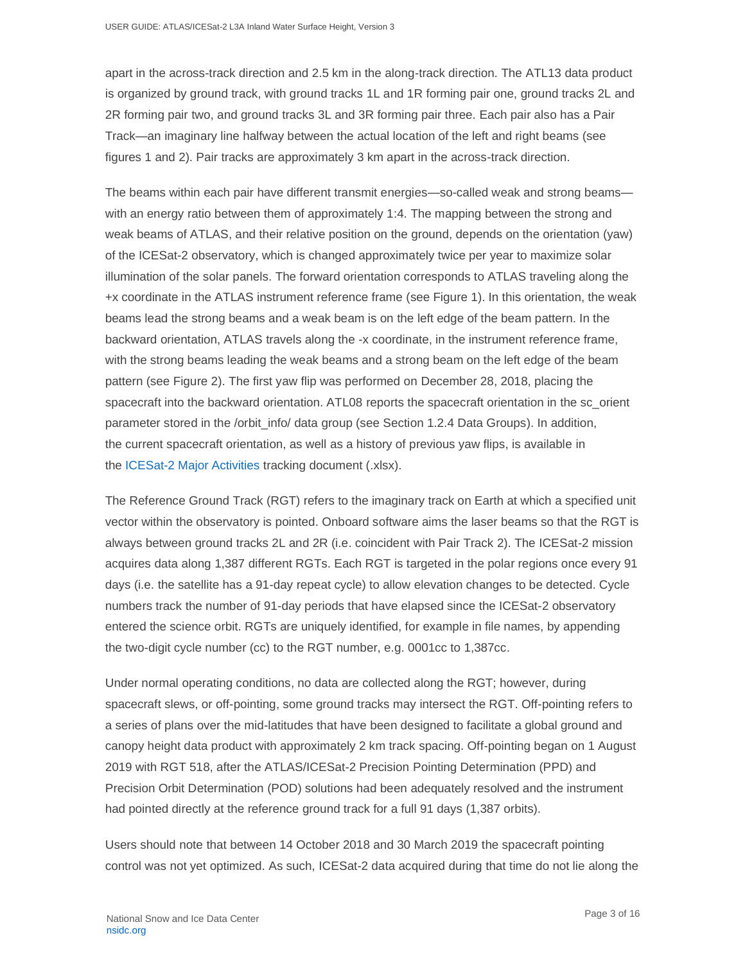apart in the across-track direction and 2.5 km in the along-track direction. The ATL13 data product is organized by ground track, with ground tracks 1L and 1R forming pair one, ground tracks 2L and 2R forming pair two, and ground tracks 3L and 3R forming pair three. Each pair also has a Pair Track—an imaginary line halfway between the actual location of the left and right beams (see figures 1 and 2). Pair tracks are approximately 3 km apart in the across-track direction.

The beams within each pair have different transmit energies—so-called weak and strong beams with an energy ratio between them of approximately 1:4. The mapping between the strong and weak beams of ATLAS, and their relative position on the ground, depends on the orientation (yaw) of the ICESat-2 observatory, which is changed approximately twice per year to maximize solar illumination of the solar panels. The forward orientation corresponds to ATLAS traveling along the +x coordinate in the ATLAS instrument reference frame (see Figure 1). In this orientation, the weak beams lead the strong beams and a weak beam is on the left edge of the beam pattern. In the backward orientation, ATLAS travels along the -x coordinate, in the instrument reference frame, with the strong beams leading the weak beams and a strong beam on the left edge of the beam pattern (see Figure 2). The first yaw flip was performed on December 28, 2018, placing the spacecraft into the backward orientation. ATL08 reports the spacecraft orientation in the sc\_orient parameter stored in the /orbit\_info/ data group (see Section 1.2.4 Data Groups). In addition, the current spacecraft orientation, as well as a history of previous yaw flips, is available in the [ICESat-2 Major Activities](https://nsidc.org/sites/nsidc.org/files/files/ICESat2_major_activities_05012020.xlsx) tracking document (.xlsx).

The Reference Ground Track (RGT) refers to the imaginary track on Earth at which a specified unit vector within the observatory is pointed. Onboard software aims the laser beams so that the RGT is always between ground tracks 2L and 2R (i.e. coincident with Pair Track 2). The ICESat-2 mission acquires data along 1,387 different RGTs. Each RGT is targeted in the polar regions once every 91 days (i.e. the satellite has a 91-day repeat cycle) to allow elevation changes to be detected. Cycle numbers track the number of 91-day periods that have elapsed since the ICESat-2 observatory entered the science orbit. RGTs are uniquely identified, for example in file names, by appending the two-digit cycle number (cc) to the RGT number, e.g. 0001cc to 1,387cc.

Under normal operating conditions, no data are collected along the RGT; however, during spacecraft slews, or off-pointing, some ground tracks may intersect the RGT. Off-pointing refers to a series of plans over the mid-latitudes that have been designed to facilitate a global ground and canopy height data product with approximately 2 km track spacing. Off-pointing began on 1 August 2019 with RGT 518, after the ATLAS/ICESat-2 Precision Pointing Determination (PPD) and Precision Orbit Determination (POD) solutions had been adequately resolved and the instrument had pointed directly at the reference ground track for a full 91 days (1,387 orbits).

Users should note that between 14 October 2018 and 30 March 2019 the spacecraft pointing control was not yet optimized. As such, ICESat-2 data acquired during that time do not lie along the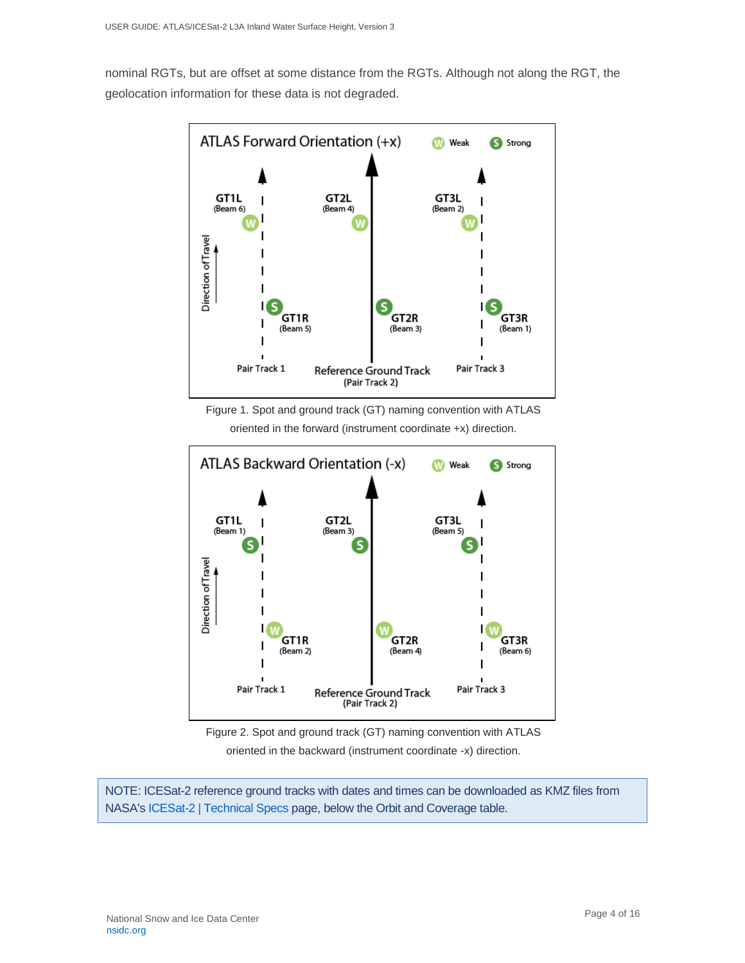nominal RGTs, but are offset at some distance from the RGTs. Although not along the RGT, the geolocation information for these data is not degraded.



Figure 1. Spot and ground track (GT) naming convention with ATLAS oriented in the forward (instrument coordinate +x) direction.



Figure 2. Spot and ground track (GT) naming convention with ATLAS oriented in the backward (instrument coordinate -x) direction.

NOTE: ICESat-2 reference ground tracks with dates and times can be downloaded as KMZ files from NASA'[s ICESat-2 | Technical](https://icesat-2.gsfc.nasa.gov/science/specs) Specs page, below the Orbit and Coverage table.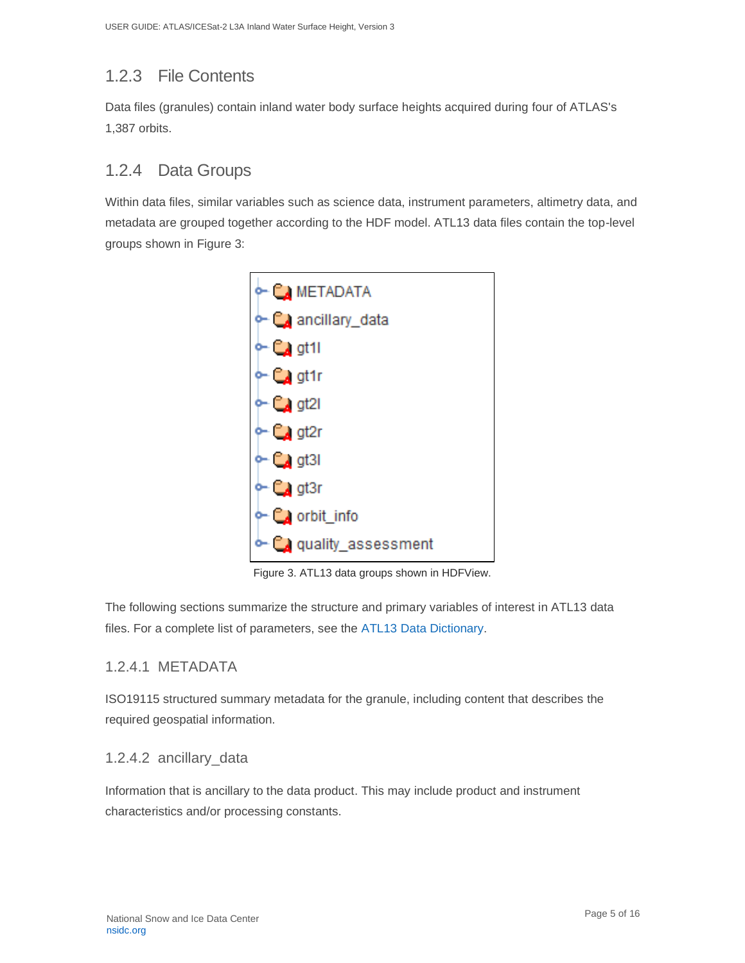## <span id="page-5-0"></span>1.2.3 File Contents

Data files (granules) contain inland water body surface heights acquired during four of ATLAS's 1,387 orbits.

## <span id="page-5-1"></span>1.2.4 Data Groups

Within data files, similar variables such as science data, instrument parameters, altimetry data, and metadata are grouped together according to the HDF model. ATL13 data files contain the top-level groups shown in Figure 3:



Figure 3. ATL13 data groups shown in HDFView.

The following sections summarize the structure and primary variables of interest in ATL13 data files. For a complete list of parameters, see the [ATL13 Data Dictionary.](https://nsidc.org/sites/nsidc.org/files/technical-references/ICESat2_ATL13_data_dict_v003.pdf)

### 1.2.4.1 METADATA

ISO19115 structured summary metadata for the granule, including content that describes the required geospatial information.

### 1.2.4.2 ancillary\_data

Information that is ancillary to the data product. This may include product and instrument characteristics and/or processing constants.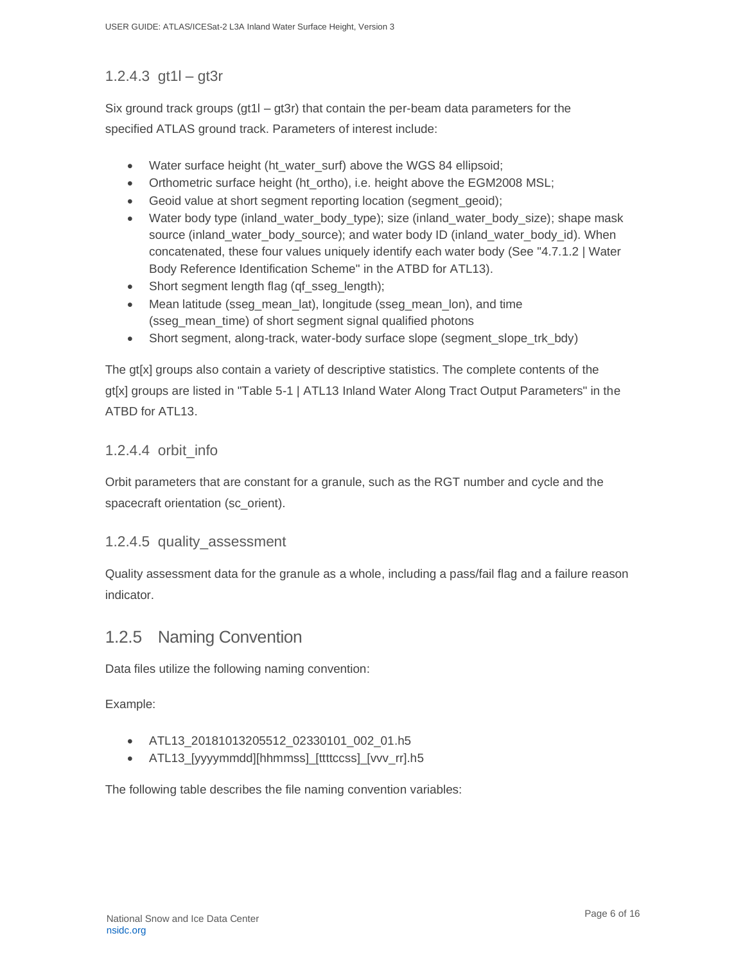### 1.2.4.3 gt1l – gt3r

Six ground track groups ( $gt11 - gt3r$ ) that contain the per-beam data parameters for the specified ATLAS ground track. Parameters of interest include:

- Water surface height (ht\_water\_surf) above the WGS 84 ellipsoid;
- Orthometric surface height (ht\_ortho), i.e. height above the EGM2008 MSL;
- Geoid value at short segment reporting location (segment\_geoid);
- Water body type (inland water body type); size (inland water body size); shape mask source (inland\_water\_body\_source); and water body ID (inland\_water\_body\_id). When concatenated, these four values uniquely identify each water body (See "4.7.1.2 | Water Body Reference Identification Scheme" in the ATBD for ATL13).
- Short segment length flag (qf\_sseg\_length);
- Mean latitude (sseg\_mean\_lat), longitude (sseg\_mean\_lon), and time (sseg\_mean\_time) of short segment signal qualified photons
- Short segment, along-track, water-body surface slope (segment slope trk bdy)

The gt[x] groups also contain a variety of descriptive statistics. The complete contents of the gt[x] groups are listed in "Table 5-1 | ATL13 Inland Water Along Tract Output Parameters" in the ATBD for ATL13.

### 1.2.4.4 orbit\_info

Orbit parameters that are constant for a granule, such as the RGT number and cycle and the spacecraft orientation (sc\_orient).

### 1.2.4.5 quality\_assessment

Quality assessment data for the granule as a whole, including a pass/fail flag and a failure reason indicator.

### <span id="page-6-0"></span>1.2.5 Naming Convention

Data files utilize the following naming convention:

Example:

- ATL13\_20181013205512\_02330101\_002\_01.h5
- ATL13\_[yyyymmdd][hhmmss]\_[ttttccss]\_[vvv\_rr].h5

The following table describes the file naming convention variables: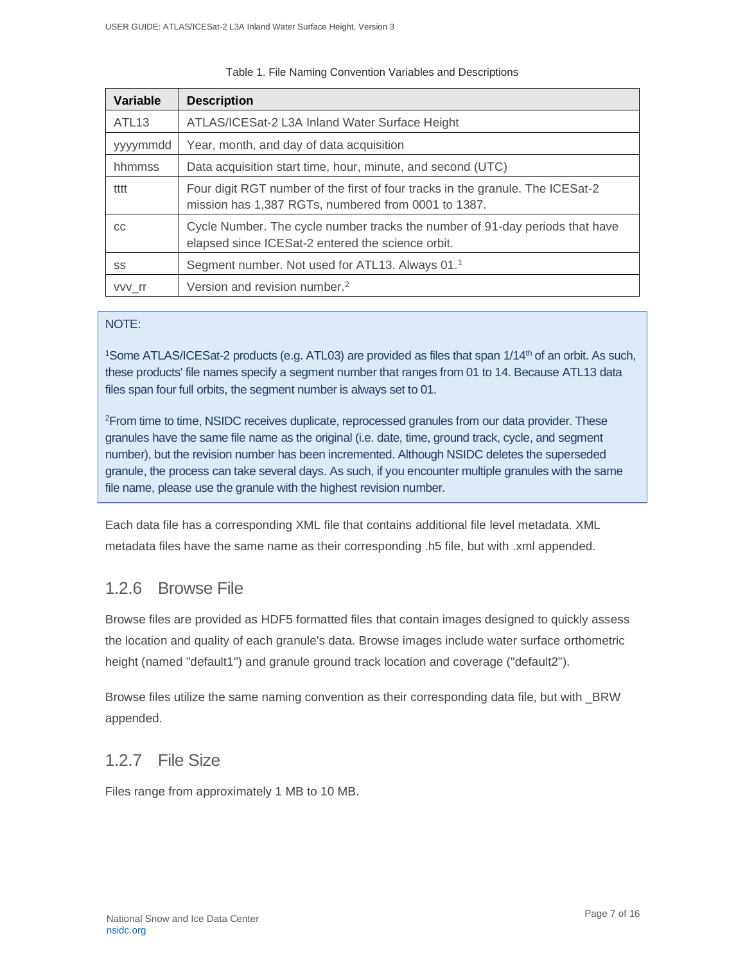| Variable          | <b>Description</b>                                                                                                                    |
|-------------------|---------------------------------------------------------------------------------------------------------------------------------------|
| ATL <sub>13</sub> | ATLAS/ICESat-2 L3A Inland Water Surface Height                                                                                        |
| yyymmdd           | Year, month, and day of data acquisition                                                                                              |
| hhmmss            | Data acquisition start time, hour, minute, and second (UTC)                                                                           |
| tttt              | Four digit RGT number of the first of four tracks in the granule. The ICESat-2<br>mission has 1,387 RGTs, numbered from 0001 to 1387. |
| CC                | Cycle Number. The cycle number tracks the number of 91-day periods that have<br>elapsed since ICESat-2 entered the science orbit.     |
| SS                | Segment number. Not used for ATL13. Always 01. <sup>1</sup>                                                                           |
| vvv rr            | Version and revision number. <sup>2</sup>                                                                                             |

#### Table 1. File Naming Convention Variables and Descriptions

#### NOTE:

<sup>1</sup>Some ATLAS/ICESat-2 products (e.g. ATL03) are provided as files that span  $1/14<sup>th</sup>$  of an orbit. As such, these products' file names specify a segment number that ranges from 01 to 14. Because ATL13 data files span four full orbits, the segment number is always set to 01.

<sup>2</sup>From time to time, NSIDC receives duplicate, reprocessed granules from our data provider. These granules have the same file name as the original (i.e. date, time, ground track, cycle, and segment number), but the revision number has been incremented. Although NSIDC deletes the superseded granule, the process can take several days. As such, if you encounter multiple granules with the same file name, please use the granule with the highest revision number.

Each data file has a corresponding XML file that contains additional file level metadata. XML metadata files have the same name as their corresponding .h5 file, but with .xml appended.

### <span id="page-7-0"></span>1.2.6 Browse File

Browse files are provided as HDF5 formatted files that contain images designed to quickly assess the location and quality of each granule's data. Browse images include water surface orthometric height (named "default1") and granule ground track location and coverage ("default2").

Browse files utilize the same naming convention as their corresponding data file, but with \_BRW appended.

### <span id="page-7-1"></span>1.2.7 File Size

Files range from approximately 1 MB to 10 MB.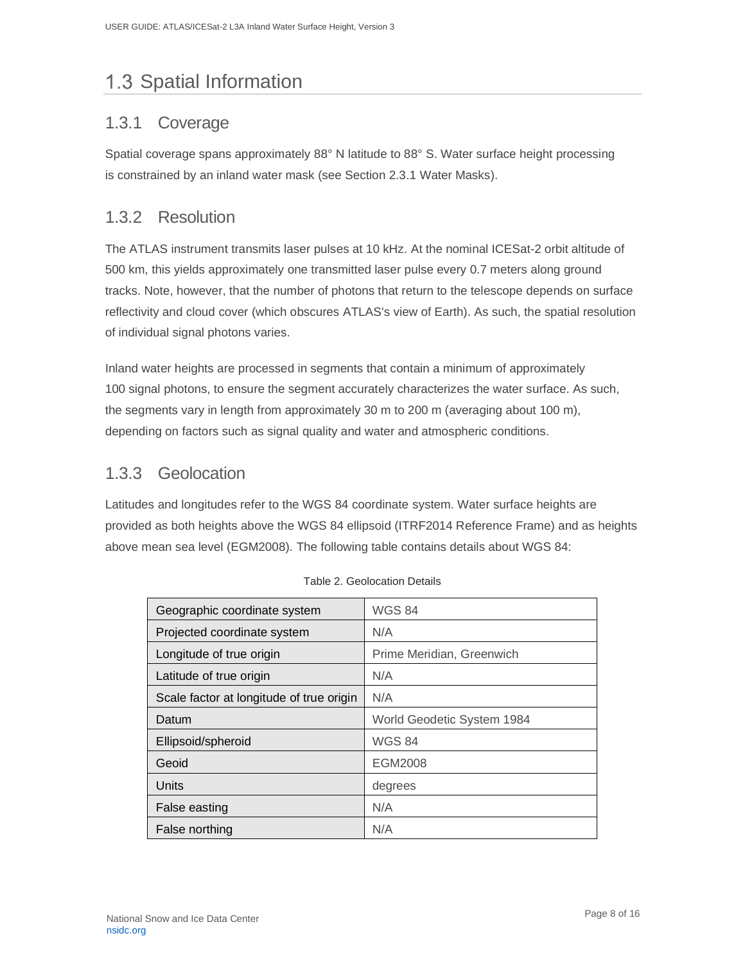# <span id="page-8-0"></span>1.3 Spatial Information

## <span id="page-8-1"></span>1.3.1 Coverage

Spatial coverage spans approximately 88° N latitude to 88° S. Water surface height processing is constrained by an inland water mask (see Section 2.3.1 Water Masks).

## <span id="page-8-2"></span>1.3.2 Resolution

The ATLAS instrument transmits laser pulses at 10 kHz. At the nominal ICESat-2 orbit altitude of 500 km, this yields approximately one transmitted laser pulse every 0.7 meters along ground tracks. Note, however, that the number of photons that return to the telescope depends on surface reflectivity and cloud cover (which obscures ATLAS's view of Earth). As such, the spatial resolution of individual signal photons varies.

Inland water heights are processed in segments that contain a minimum of approximately 100 signal photons, to ensure the segment accurately characterizes the water surface. As such, the segments vary in length from approximately 30 m to 200 m (averaging about 100 m), depending on factors such as signal quality and water and atmospheric conditions.

## <span id="page-8-3"></span>1.3.3 Geolocation

Latitudes and longitudes refer to the WGS 84 coordinate system. Water surface heights are provided as both heights above the WGS 84 ellipsoid (ITRF2014 Reference Frame) and as heights above mean sea level (EGM2008). The following table contains details about WGS 84:

| Geographic coordinate system             | <b>WGS 84</b>              |  |
|------------------------------------------|----------------------------|--|
| Projected coordinate system              | N/A                        |  |
| Longitude of true origin                 | Prime Meridian, Greenwich  |  |
| Latitude of true origin                  | N/A                        |  |
| Scale factor at longitude of true origin | N/A                        |  |
| Datum                                    | World Geodetic System 1984 |  |
| Ellipsoid/spheroid                       | <b>WGS 84</b>              |  |
| Geoid                                    | EGM2008                    |  |
| Units                                    | degrees                    |  |
| False easting                            | N/A                        |  |
| False northing                           | N/A                        |  |

|  | Table 2. Geolocation Details |  |
|--|------------------------------|--|
|  |                              |  |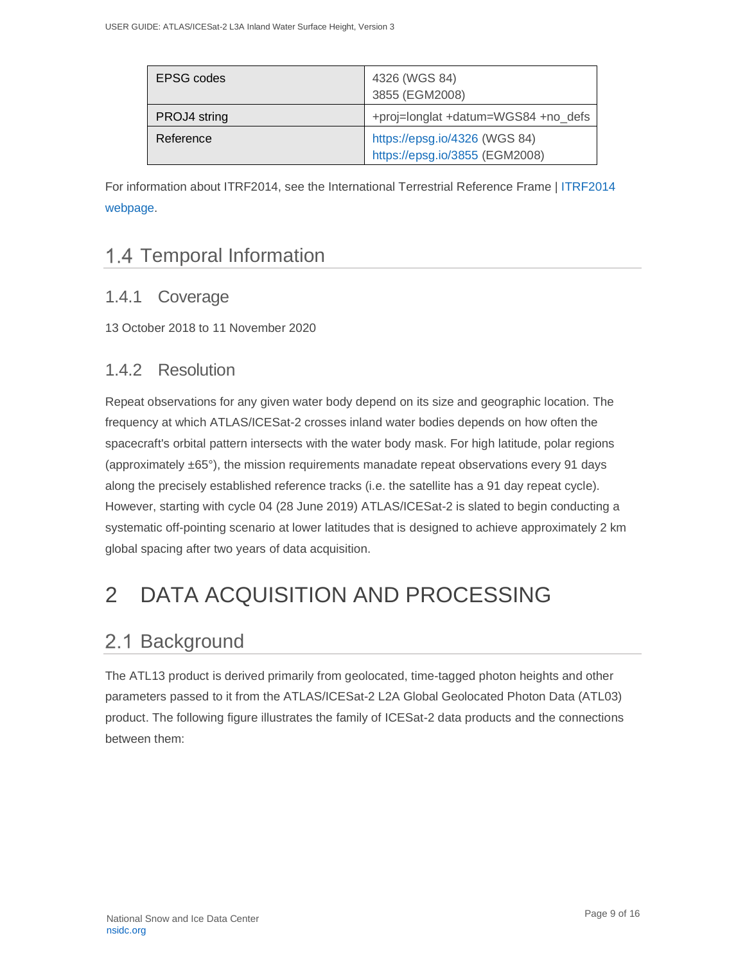| EPSG codes   | 4326 (WGS 84)<br>3855 (EGM2008)                                 |  |
|--------------|-----------------------------------------------------------------|--|
| PROJ4 string | +proj=longlat +datum=WGS84 +no_defs                             |  |
| Reference    | https://epsg.io/4326 (WGS 84)<br>https://epsg.io/3855 (EGM2008) |  |

For information about ITRF2014, see the International Terrestrial Reference Frame | [ITRF2014](http://itrf.ign.fr/ITRF_solutions/2014/)  [webpage.](http://itrf.ign.fr/ITRF_solutions/2014/)

# <span id="page-9-0"></span>1.4 Temporal Information

## <span id="page-9-1"></span>1.4.1 Coverage

13 October 2018 to 11 November 2020

## <span id="page-9-2"></span>1.4.2 Resolution

Repeat observations for any given water body depend on its size and geographic location. The frequency at which ATLAS/ICESat-2 crosses inland water bodies depends on how often the spacecraft's orbital pattern intersects with the water body mask. For high latitude, polar regions (approximately  $\pm 65^{\circ}$ ), the mission requirements manadate repeat observations every 91 days along the precisely established reference tracks (i.e. the satellite has a 91 day repeat cycle). However, starting with cycle 04 (28 June 2019) ATLAS/ICESat-2 is slated to begin conducting a systematic off-pointing scenario at lower latitudes that is designed to achieve approximately 2 km global spacing after two years of data acquisition.

# <span id="page-9-3"></span>2 DATA ACQUISITION AND PROCESSING

# <span id="page-9-4"></span>2.1 Background

The ATL13 product is derived primarily from geolocated, time-tagged photon heights and other parameters passed to it from the ATLAS/ICESat-2 L2A Global Geolocated Photon Data (ATL03) product. The following figure illustrates the family of ICESat-2 data products and the connections between them: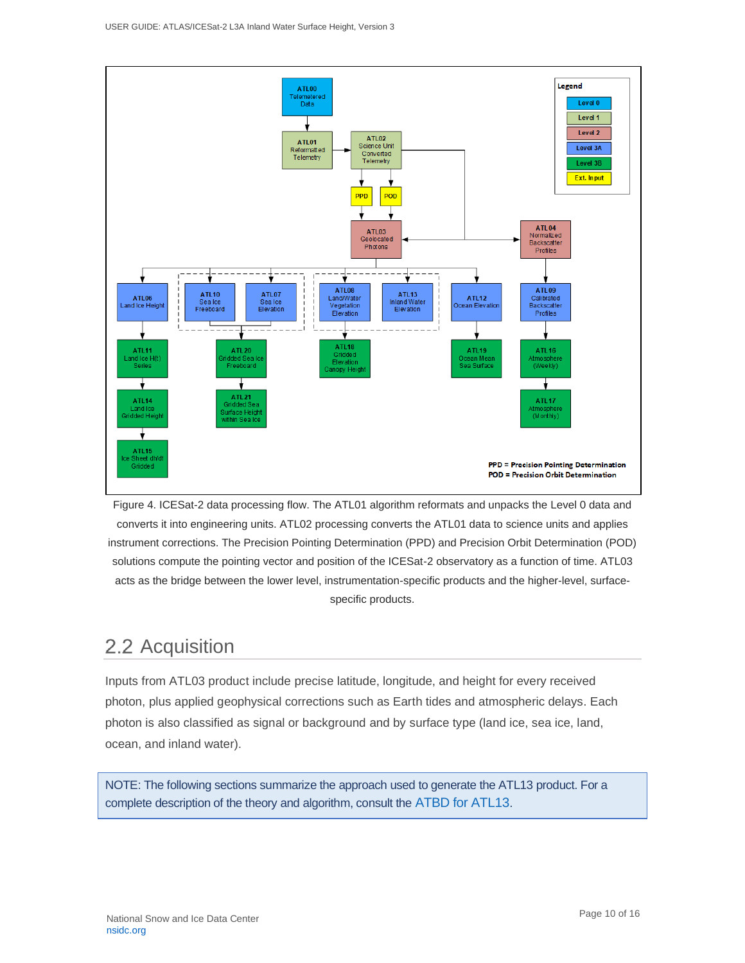

Figure 4. ICESat-2 data processing flow. The ATL01 algorithm reformats and unpacks the Level 0 data and converts it into engineering units. ATL02 processing converts the ATL01 data to science units and applies instrument corrections. The Precision Pointing Determination (PPD) and Precision Orbit Determination (POD) solutions compute the pointing vector and position of the ICESat-2 observatory as a function of time. ATL03 acts as the bridge between the lower level, instrumentation-specific products and the higher-level, surfacespecific products.

# <span id="page-10-0"></span>2.2 Acquisition

Inputs from ATL03 product include precise latitude, longitude, and height for every received photon, plus applied geophysical corrections such as Earth tides and atmospheric delays. Each photon is also classified as signal or background and by surface type (land ice, sea ice, land, ocean, and inland water).

NOTE: The following sections summarize the approach used to generate the ATL13 product. For a complete description of the theory and algorithm, consult the [ATBD for ATL13](https://nsidc.org/sites/nsidc.org/files/technical-references/ICESat2_ATL13_ATBD_r003.pdf).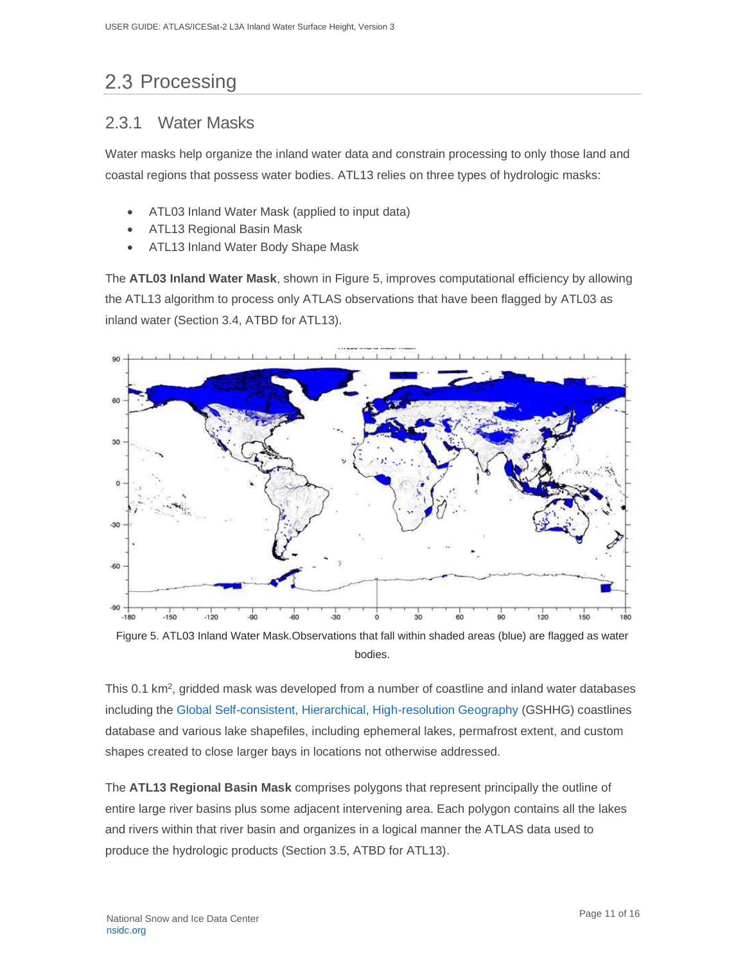# <span id="page-11-0"></span>2.3 Processing

### <span id="page-11-1"></span>2.3.1 Water Masks

Water masks help organize the inland water data and constrain processing to only those land and coastal regions that possess water bodies. ATL13 relies on three types of hydrologic masks:

- ATL03 Inland Water Mask (applied to input data)
- ATL13 Regional Basin Mask
- ATL13 Inland Water Body Shape Mask

The **ATL03 Inland Water Mask**, shown in Figure 5, improves computational efficiency by allowing the ATL13 algorithm to process only ATLAS observations that have been flagged by ATL03 as inland water (Section 3.4, ATBD for ATL13).



Figure 5. ATL03 Inland Water Mask.Observations that fall within shaded areas (blue) are flagged as water bodies.

This 0.1 km<sup>2</sup>, gridded mask was developed from a number of coastline and inland water databases including the [Global Self-consistent, Hierarchical, High-resolution Geography](https://www.soest.hawaii.edu/pwessel/gshhg/index.html) (GSHHG) coastlines database and various lake shapefiles, including ephemeral lakes, permafrost extent, and custom shapes created to close larger bays in locations not otherwise addressed.

The **ATL13 Regional Basin Mask** comprises polygons that represent principally the outline of entire large river basins plus some adjacent intervening area. Each polygon contains all the lakes and rivers within that river basin and organizes in a logical manner the ATLAS data used to produce the hydrologic products (Section 3.5, ATBD for ATL13).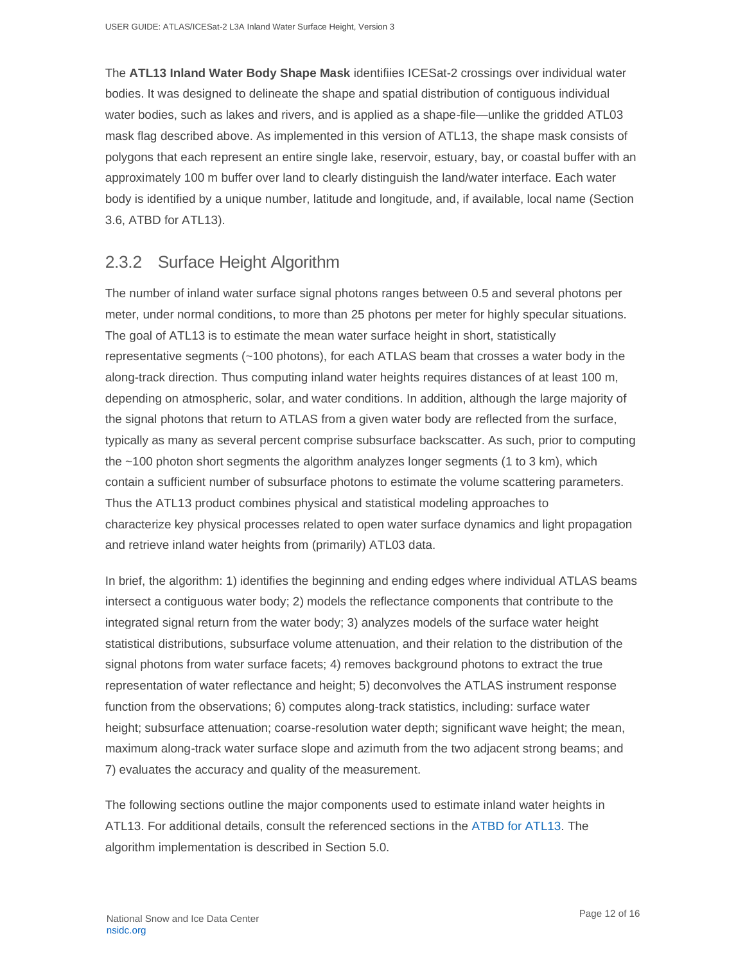The **ATL13 Inland Water Body Shape Mask** identifiies ICESat-2 crossings over individual water bodies. It was designed to delineate the shape and spatial distribution of contiguous individual water bodies, such as lakes and rivers, and is applied as a shape-file—unlike the gridded ATL03 mask flag described above. As implemented in this version of ATL13, the shape mask consists of polygons that each represent an entire single lake, reservoir, estuary, bay, or coastal buffer with an approximately 100 m buffer over land to clearly distinguish the land/water interface. Each water body is identified by a unique number, latitude and longitude, and, if available, local name (Section 3.6, ATBD for ATL13).

### <span id="page-12-0"></span>2.3.2 Surface Height Algorithm

The number of inland water surface signal photons ranges between 0.5 and several photons per meter, under normal conditions, to more than 25 photons per meter for highly specular situations. The goal of ATL13 is to estimate the mean water surface height in short, statistically representative segments (~100 photons), for each ATLAS beam that crosses a water body in the along-track direction. Thus computing inland water heights requires distances of at least 100 m, depending on atmospheric, solar, and water conditions. In addition, although the large majority of the signal photons that return to ATLAS from a given water body are reflected from the surface, typically as many as several percent comprise subsurface backscatter. As such, prior to computing the ~100 photon short segments the algorithm analyzes longer segments (1 to 3 km), which contain a sufficient number of subsurface photons to estimate the volume scattering parameters. Thus the ATL13 product combines physical and statistical modeling approaches to characterize key physical processes related to open water surface dynamics and light propagation and retrieve inland water heights from (primarily) ATL03 data.

In brief, the algorithm: 1) identifies the beginning and ending edges where individual ATLAS beams intersect a contiguous water body; 2) models the reflectance components that contribute to the integrated signal return from the water body; 3) analyzes models of the surface water height statistical distributions, subsurface volume attenuation, and their relation to the distribution of the signal photons from water surface facets; 4) removes background photons to extract the true representation of water reflectance and height; 5) deconvolves the ATLAS instrument response function from the observations; 6) computes along-track statistics, including: surface water height; subsurface attenuation; coarse-resolution water depth; significant wave height; the mean, maximum along-track water surface slope and azimuth from the two adjacent strong beams; and 7) evaluates the accuracy and quality of the measurement.

The following sections outline the major components used to estimate inland water heights in ATL13. For additional details, consult the referenced sections in the [ATBD for ATL13.](https://nsidc.org/sites/nsidc.org/files/technical-references/ICESat2_ATL13_ATBD_r003.pdf) The algorithm implementation is described in Section 5.0.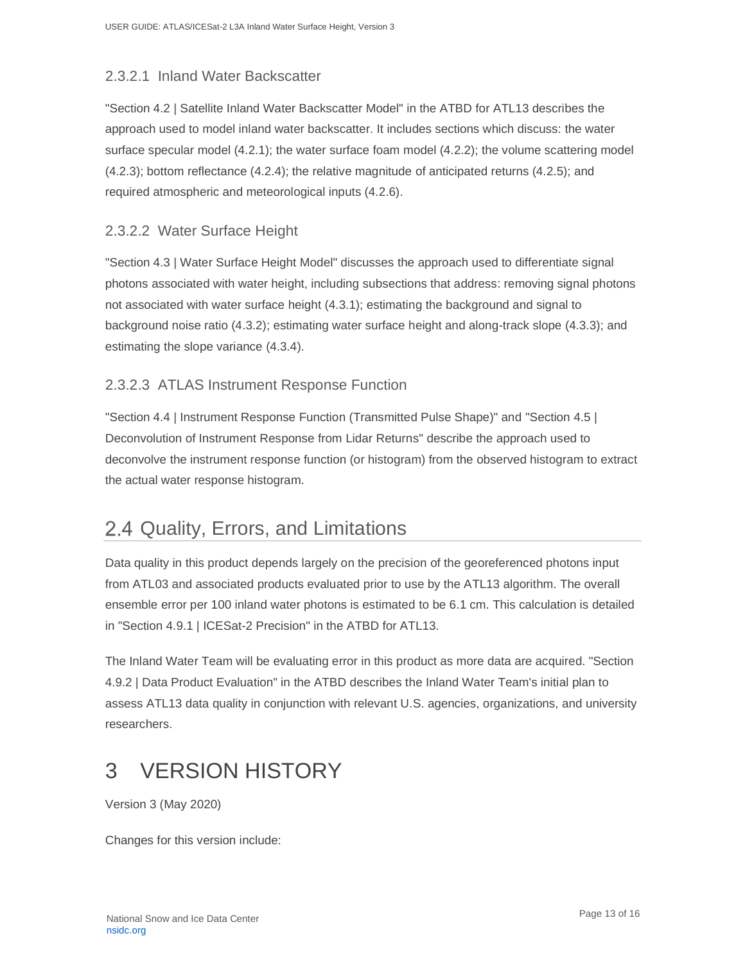### 2.3.2.1 Inland Water Backscatter

"Section 4.2 | Satellite Inland Water Backscatter Model" in the ATBD for ATL13 describes the approach used to model inland water backscatter. It includes sections which discuss: the water surface specular model (4.2.1); the water surface foam model (4.2.2); the volume scattering model (4.2.3); bottom reflectance (4.2.4); the relative magnitude of anticipated returns (4.2.5); and required atmospheric and meteorological inputs (4.2.6).

### 2.3.2.2 Water Surface Height

"Section 4.3 | Water Surface Height Model" discusses the approach used to differentiate signal photons associated with water height, including subsections that address: removing signal photons not associated with water surface height (4.3.1); estimating the background and signal to background noise ratio (4.3.2); estimating water surface height and along-track slope (4.3.3); and estimating the slope variance (4.3.4).

### 2.3.2.3 ATLAS Instrument Response Function

"Section 4.4 | Instrument Response Function (Transmitted Pulse Shape)" and "Section 4.5 | Deconvolution of Instrument Response from Lidar Returns" describe the approach used to deconvolve the instrument response function (or histogram) from the observed histogram to extract the actual water response histogram.

# <span id="page-13-0"></span>2.4 Quality, Errors, and Limitations

Data quality in this product depends largely on the precision of the georeferenced photons input from ATL03 and associated products evaluated prior to use by the ATL13 algorithm. The overall ensemble error per 100 inland water photons is estimated to be 6.1 cm. This calculation is detailed in "Section 4.9.1 | ICESat-2 Precision" in the ATBD for ATL13.

The Inland Water Team will be evaluating error in this product as more data are acquired. "Section 4.9.2 | Data Product Evaluation" in the ATBD describes the Inland Water Team's initial plan to assess ATL13 data quality in conjunction with relevant U.S. agencies, organizations, and university researchers.

# <span id="page-13-1"></span>3 VERSION HISTORY

Version 3 (May 2020)

Changes for this version include: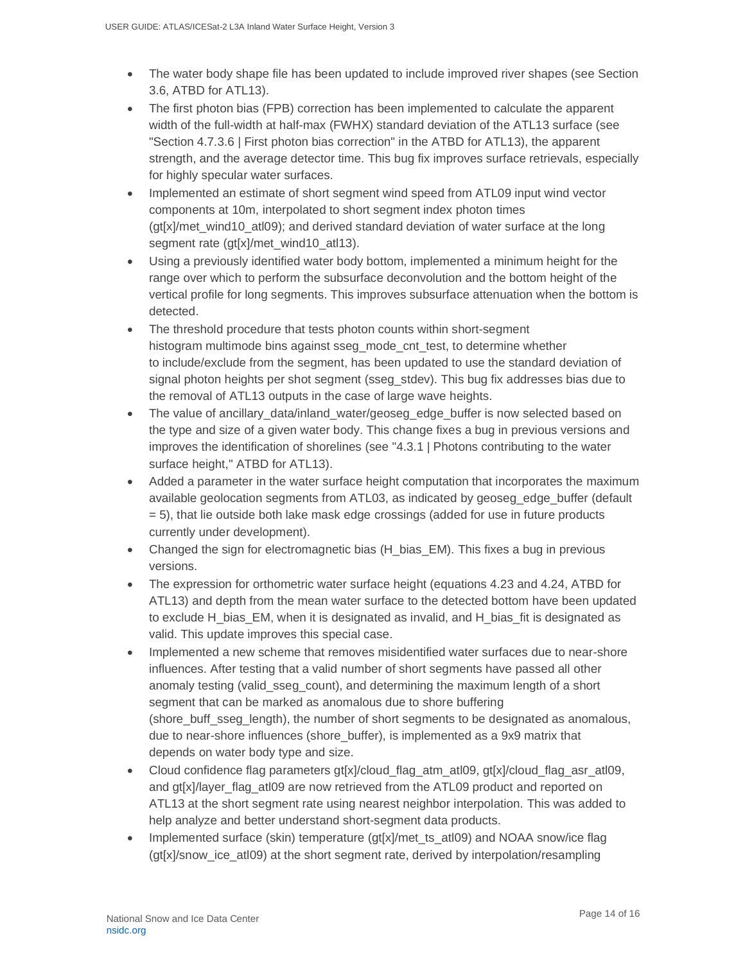- The water body shape file has been updated to include improved river shapes (see Section 3.6, ATBD for ATL13).
- The first photon bias (FPB) correction has been implemented to calculate the apparent width of the full-width at half-max (FWHX) standard deviation of the ATL13 surface (see "Section 4.7.3.6 | First photon bias correction" in the ATBD for ATL13), the apparent strength, and the average detector time. This bug fix improves surface retrievals, especially for highly specular water surfaces.
- Implemented an estimate of short segment wind speed from ATL09 input wind vector components at 10m, interpolated to short segment index photon times  $(qt[x]/met$  wind10 atl09); and derived standard deviation of water surface at the long segment rate (gt[x]/met\_wind10\_atl13).
- Using a previously identified water body bottom, implemented a minimum height for the range over which to perform the subsurface deconvolution and the bottom height of the vertical profile for long segments. This improves subsurface attenuation when the bottom is detected.
- The threshold procedure that tests photon counts within short-segment histogram multimode bins against sseg\_mode\_cnt\_test, to determine whether to include/exclude from the segment, has been updated to use the standard deviation of signal photon heights per shot segment (sseg\_stdev). This bug fix addresses bias due to the removal of ATL13 outputs in the case of large wave heights.
- The value of ancillary data/inland water/geoseg\_edge\_buffer is now selected based on the type and size of a given water body. This change fixes a bug in previous versions and improves the identification of shorelines (see "4.3.1 | Photons contributing to the water surface height," ATBD for ATL13).
- Added a parameter in the water surface height computation that incorporates the maximum available geolocation segments from ATL03, as indicated by geoseg\_edge\_buffer (default = 5), that lie outside both lake mask edge crossings (added for use in future products currently under development).
- Changed the sign for electromagnetic bias (H\_bias\_EM). This fixes a bug in previous versions.
- The expression for orthometric water surface height (equations 4.23 and 4.24, ATBD for ATL13) and depth from the mean water surface to the detected bottom have been updated to exclude H\_bias\_EM, when it is designated as invalid, and H\_bias\_fit is designated as valid. This update improves this special case.
- Implemented a new scheme that removes misidentified water surfaces due to near-shore influences. After testing that a valid number of short segments have passed all other anomaly testing (valid\_sseg\_count), and determining the maximum length of a short segment that can be marked as anomalous due to shore buffering (shore\_buff\_sseg\_length), the number of short segments to be designated as anomalous, due to near-shore influences (shore\_buffer), is implemented as a 9x9 matrix that depends on water body type and size.
- Cloud confidence flag parameters gt[x]/cloud flag\_atm\_atl09, gt[x]/cloud\_flag\_asr\_atl09, and gt[x]/layer\_flag\_atl09 are now retrieved from the ATL09 product and reported on ATL13 at the short segment rate using nearest neighbor interpolation. This was added to help analyze and better understand short-segment data products.
- Implemented surface (skin) temperature (gt[x]/met\_ts\_atl09) and NOAA snow/ice flag (gt[x]/snow\_ice\_atl09) at the short segment rate, derived by interpolation/resampling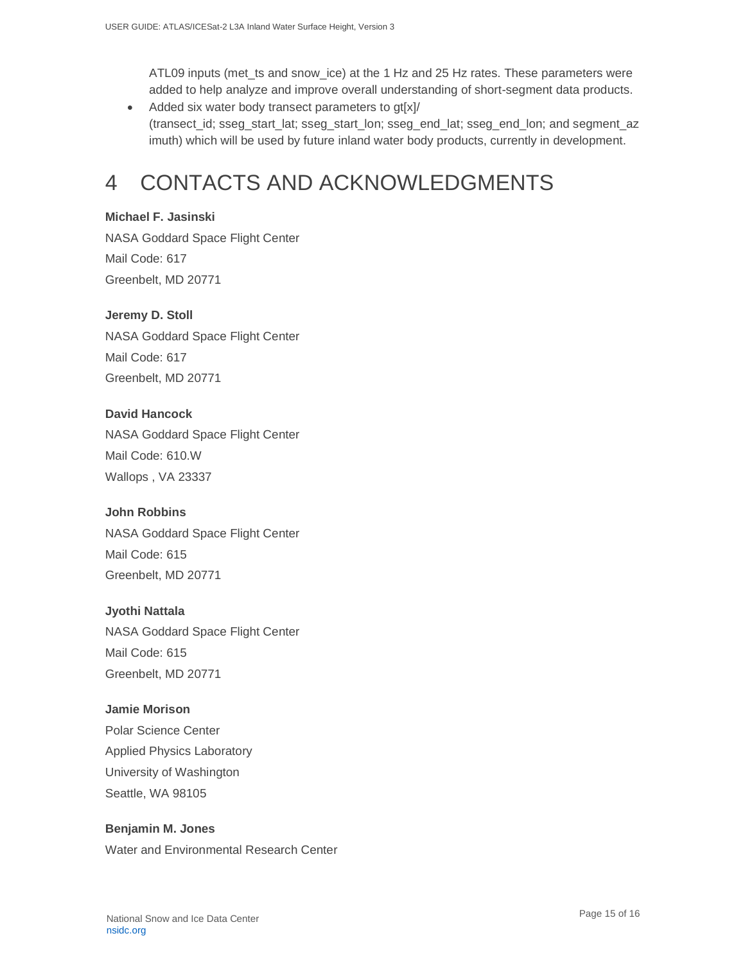ATL09 inputs (met\_ts and snow\_ice) at the 1 Hz and 25 Hz rates. These parameters were added to help analyze and improve overall understanding of short-segment data products.

• Added six water body transect parameters to gt[x]/ (transect\_id; sseg\_start\_lat; sseg\_start\_lon; sseg\_end\_lat; sseg\_end\_lon; and segment\_az imuth) which will be used by future inland water body products, currently in development.

# <span id="page-15-0"></span>4 CONTACTS AND ACKNOWLEDGMENTS

### **Michael F. Jasinski**

NASA Goddard Space Flight Center Mail Code: 617 Greenbelt, MD 20771

### **Jeremy D. Stoll**

NASA Goddard Space Flight Center Mail Code: 617 Greenbelt, MD 20771

### **David Hancock**

NASA Goddard Space Flight Center Mail Code: 610.W Wallops , VA 23337

### **John Robbins**

NASA Goddard Space Flight Center Mail Code: 615 Greenbelt, MD 20771

### **Jyothi Nattala**

NASA Goddard Space Flight Center Mail Code: 615 Greenbelt, MD 20771

### **Jamie Morison**

Polar Science Center Applied Physics Laboratory University of Washington Seattle, WA 98105

### **Benjamin M. Jones** Water and Environmental Research Center